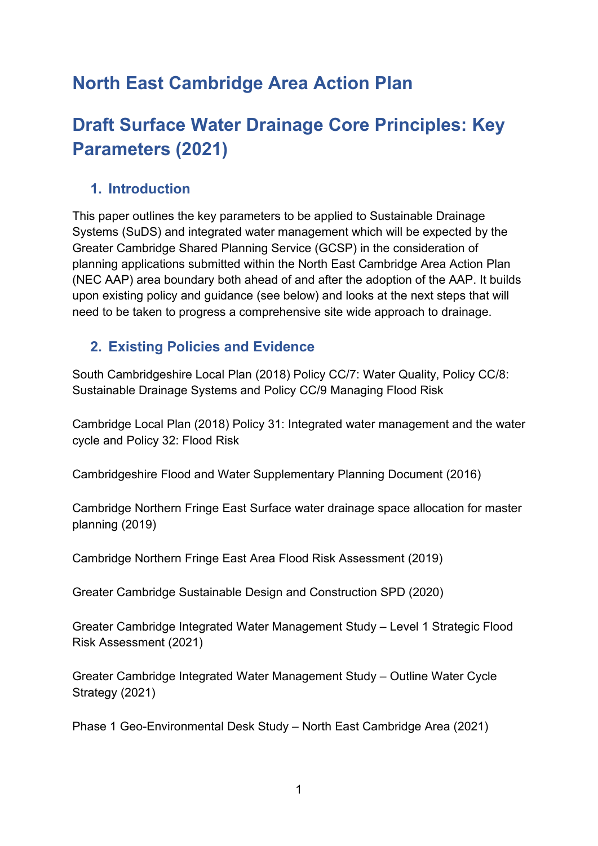# **North East Cambridge Area Action Plan**

# **Draft Surface Water Drainage Core Principles: Key Parameters (2021)**

### **1. Introduction**

This paper outlines the key parameters to be applied to Sustainable Drainage Systems (SuDS) and integrated water management which will be expected by the Greater Cambridge Shared Planning Service (GCSP) in the consideration of planning applications submitted within the North East Cambridge Area Action Plan (NEC AAP) area boundary both ahead of and after the adoption of the AAP. It builds upon existing policy and guidance (see below) and looks at the next steps that will need to be taken to progress a comprehensive site wide approach to drainage.

## **2. Existing Policies and Evidence**

South Cambridgeshire Local Plan (2018) Policy CC/7: Water Quality, Policy CC/8: Sustainable Drainage Systems and Policy CC/9 Managing Flood Risk

Cambridge Local Plan (2018) Policy 31: Integrated water management and the water cycle and Policy 32: Flood Risk

Cambridgeshire Flood and Water Supplementary Planning Document (2016)

Cambridge Northern Fringe East Surface water drainage space allocation for master planning (2019)

Cambridge Northern Fringe East Area Flood Risk Assessment (2019)

Greater Cambridge Sustainable Design and Construction SPD (2020)

Greater Cambridge Integrated Water Management Study – Level 1 Strategic Flood Risk Assessment (2021)

Greater Cambridge Integrated Water Management Study – Outline Water Cycle Strategy (2021)

Phase 1 Geo-Environmental Desk Study – North East Cambridge Area (2021)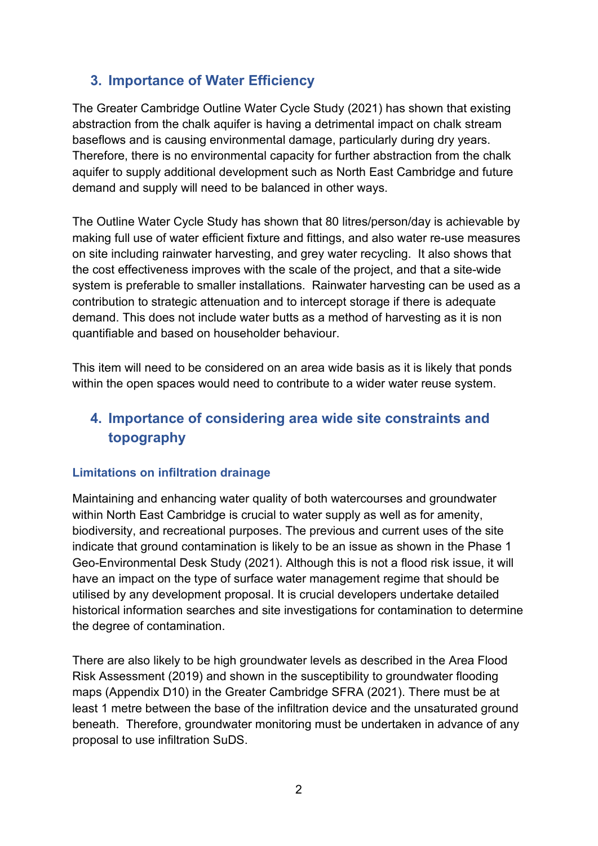## **3. Importance of Water Efficiency**

The Greater Cambridge Outline Water Cycle Study (2021) has shown that existing abstraction from the chalk aquifer is having a detrimental impact on chalk stream baseflows and is causing environmental damage, particularly during dry years. Therefore, there is no environmental capacity for further abstraction from the chalk aquifer to supply additional development such as North East Cambridge and future demand and supply will need to be balanced in other ways.

The Outline Water Cycle Study has shown that 80 litres/person/day is achievable by making full use of water efficient fixture and fittings, and also water re-use measures on site including rainwater harvesting, and grey water recycling. It also shows that the cost effectiveness improves with the scale of the project, and that a site-wide system is preferable to smaller installations. Rainwater harvesting can be used as a contribution to strategic attenuation and to intercept storage if there is adequate demand. This does not include water butts as a method of harvesting as it is non quantifiable and based on householder behaviour.

This item will need to be considered on an area wide basis as it is likely that ponds within the open spaces would need to contribute to a wider water reuse system.

# **4. Importance of considering area wide site constraints and topography**

### **Limitations on infiltration drainage**

Maintaining and enhancing water quality of both watercourses and groundwater within North East Cambridge is crucial to water supply as well as for amenity, biodiversity, and recreational purposes. The previous and current uses of the site indicate that ground contamination is likely to be an issue as shown in the Phase 1 Geo-Environmental Desk Study (2021). Although this is not a flood risk issue, it will have an impact on the type of surface water management regime that should be utilised by any development proposal. It is crucial developers undertake detailed historical information searches and site investigations for contamination to determine the degree of contamination.

There are also likely to be high groundwater levels as described in the Area Flood Risk Assessment (2019) and shown in the susceptibility to groundwater flooding maps (Appendix D10) in the Greater Cambridge SFRA (2021). There must be at least 1 metre between the base of the infiltration device and the unsaturated ground beneath. Therefore, groundwater monitoring must be undertaken in advance of any proposal to use infiltration SuDS.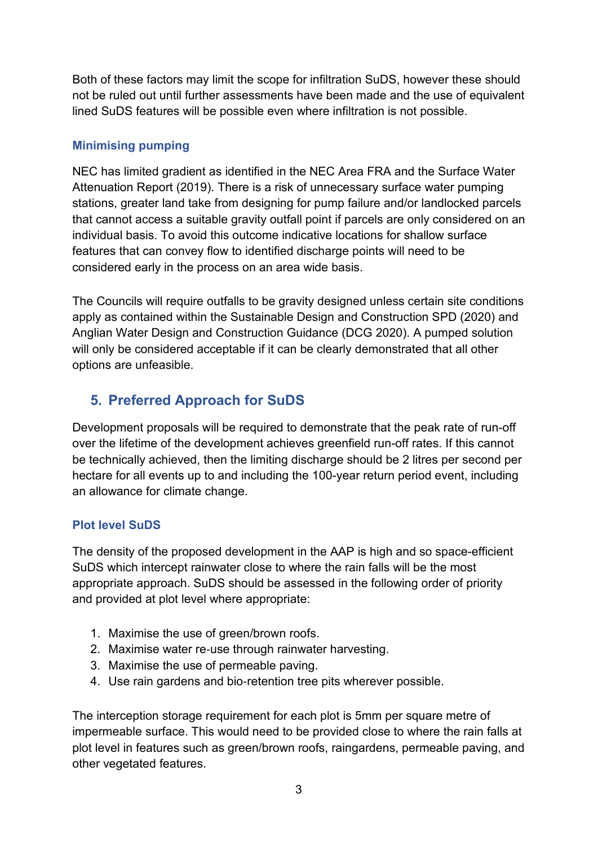Both of these factors may limit the scope for infiltration SuDS, however these should not be ruled out until further assessments have been made and the use of equivalent lined SuDS features will be possible even where infiltration is not possible.

### **Minimising pumping**

NEC has limited gradient as identified in the NEC Area FRA and the Surface Water Attenuation Report (2019). There is a risk of unnecessary surface water pumping stations, greater land take from designing for pump failure and/or landlocked parcels that cannot access a suitable gravity outfall point if parcels are only considered on an individual basis. To avoid this outcome indicative locations for shallow surface features that can convey flow to identified discharge points will need to be considered early in the process on an area wide basis.

The Councils will require outfalls to be gravity designed unless certain site conditions apply as contained within the Sustainable Design and Construction SPD (2020) and Anglian Water Design and Construction Guidance (DCG 2020). A pumped solution will only be considered acceptable if it can be clearly demonstrated that all other options are unfeasible.

# **5. Preferred Approach for SuDS**

Development proposals will be required to demonstrate that the peak rate of run-off over the lifetime of the development achieves greenfield run-off rates. If this cannot be technically achieved, then the limiting discharge should be 2 litres per second per hectare for all events up to and including the 100-year return period event, including an allowance for climate change.

### **Plot level SuDS**

The density of the proposed development in the AAP is high and so space-efficient SuDS which intercept rainwater close to where the rain falls will be the most appropriate approach. SuDS should be assessed in the following order of priority and provided at plot level where appropriate:

- 1. Maximise the use of green/brown roofs.
- 2. Maximise water re‐use through rainwater harvesting.
- 3. Maximise the use of permeable paving.
- 4. Use rain gardens and bio‐retention tree pits wherever possible.

The interception storage requirement for each plot is 5mm per square metre of impermeable surface. This would need to be provided close to where the rain falls at plot level in features such as green/brown roofs, raingardens, permeable paving, and other vegetated features.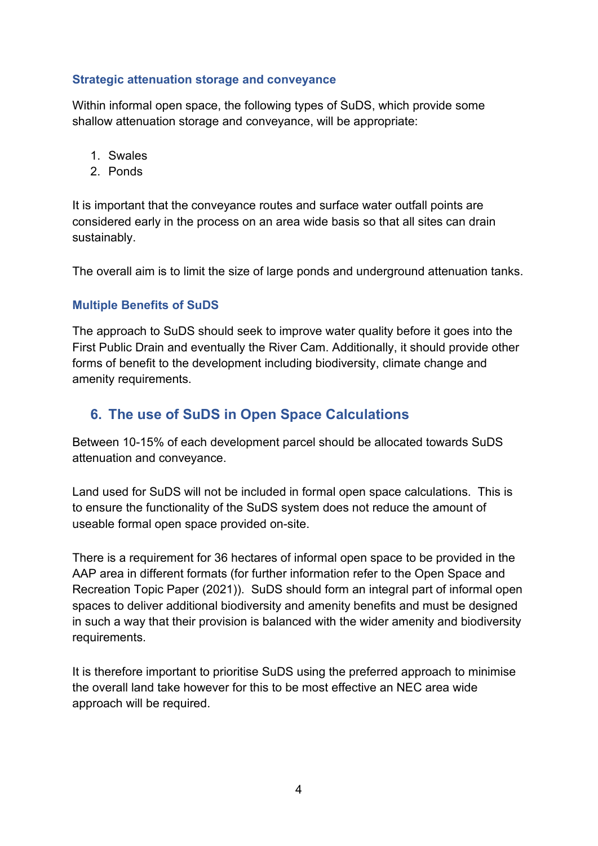### **Strategic attenuation storage and conveyance**

Within informal open space, the following types of SuDS, which provide some shallow attenuation storage and conveyance, will be appropriate:

- 1. Swales
- 2. Ponds

It is important that the conveyance routes and surface water outfall points are considered early in the process on an area wide basis so that all sites can drain sustainably.

The overall aim is to limit the size of large ponds and underground attenuation tanks.

### **Multiple Benefits of SuDS**

The approach to SuDS should seek to improve water quality before it goes into the First Public Drain and eventually the River Cam. Additionally, it should provide other forms of benefit to the development including biodiversity, climate change and amenity requirements.

## **6. The use of SuDS in Open Space Calculations**

Between 10-15% of each development parcel should be allocated towards SuDS attenuation and conveyance.

Land used for SuDS will not be included in formal open space calculations. This is to ensure the functionality of the SuDS system does not reduce the amount of useable formal open space provided on-site.

There is a requirement for 36 hectares of informal open space to be provided in the AAP area in different formats (for further information refer to the Open Space and Recreation Topic Paper (2021)). SuDS should form an integral part of informal open spaces to deliver additional biodiversity and amenity benefits and must be designed in such a way that their provision is balanced with the wider amenity and biodiversity requirements.

It is therefore important to prioritise SuDS using the preferred approach to minimise the overall land take however for this to be most effective an NEC area wide approach will be required.